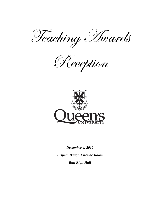Teaching Awards

Reception



*December 4, 2012 Elspeth Baugh Fireside Room Ban Righ Hall*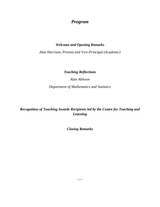# *Program*

### *Welcome and Opening Remarks*

*Alan Harrison, Provost and Vice-Principal (Academic)*

### *Teaching Reflections*

*Alan Ableson*

*Department of Mathematics and Statistics*

## *Recognition of Teaching Awards Recipients led by the Centre for Teaching and Learning*

*Closing Remarks*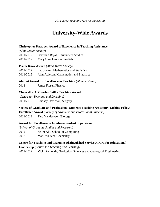# **University-Wide Awards**

#### **Christopher Knapper Award of Excellence in Teaching Assistance**

*(Alma Mater Society)*

2011/2012 Christian Rojas, Enrichment Studies

2011/2012 MaryAnne Laurico, English

#### **Frank Knox Award** *(Alma Mater Society)*

| 2011/2012                                                                                        |  |  | Leo Jonker, Mathematics and Statistics |
|--------------------------------------------------------------------------------------------------|--|--|----------------------------------------|
| $\begin{array}{c} \n\bullet \circ \bullet \circ \bullet \circ \bullet \circ \bullet \end{array}$ |  |  |                                        |

2011/2012 Alan Ableson, Mathematics and Statistics

#### **Alumni Award for Excellence in Teaching** *(Alumni Affairs)*

2012 James Fraser, Physics

#### **Chancellor A. Charles Baillie Teaching Award**

*(Centre for Teaching and Learning)* 2011/2012 Lindsay Davidson, Surgery

**Society of Graduate and Professional Students Teaching Assistant/Teaching Fellow** 

**Excellence Award** *(Society of Graduate and Professional Students)* 2011/2012 Tara Vanderveer, Biology

#### **Award for Excellence in Graduate Student Supervision**

*(School of Graduate Studies and Research)* 2012 Selim Akl, School of Computing

2012 Mark Walters, Chemsitry

#### **Centre for Teaching and Learning Distinguished Service Award for Educational**

**Leadership** *(Centre for Teaching and Learning)*

2011/2012 Vicki Remenda, Geological Sciences and Geological Engineering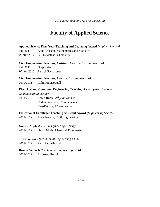# **Faculty of Applied Science**

#### **Applied Science First Year Teaching and Learning Award** *(Applied Science)*

Fall 2011 Alan Ableson, Mathematics and Statistics

Winter 2012 Bill Newstead, Chemsitry

#### **Civil Engineering Teaching Assistant Award** *(Civil Engineering)*

Fall 2011 Greg Shier

Winter 2012 Patrick Richardson

#### **Civil Engineering Teaching Award** *(Civil Engineering)*

2010/2011 Colin MacDougall

#### **Electrical and Computer Engineering Teaching Award** *(Electrical and*

*Computer Engineering)*

2011/2012 Karen Rudie, *2 nd year winner* Carlos Saavedra, *3 rd year winner* Yan-Fei Liu, *4 th year winner*

#### **Educational Excellence Teaching Assistant Award** *(Engineering Society)*

2011/2012 Mark Nelson, Civil Engineering

#### **Golden Apple Award** *(Engineering Society)*

2011/2012 David Mody, Chemical Engineering

#### **Silver Wrench** *(Mechanical Engineering Club)*

2011/2012 Patrick Oosthuizen

**Bronze Wrench** *(Mechanical Engineering Club)*

2011/2012 Amirreza Rouhi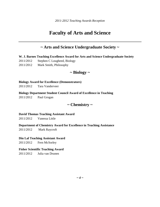# **Faculty of Arts and Science**

### **~ Arts and Science Undergraduate Society ~**

**W. J. Barnes Teaching Excellence Award for Arts and Science Undergraduate Society**

- 2011/2012 Stephen C Lougheed, Biology
- 2011/2012 Mark Smith, Philosophy

## **~ Biology ~**

#### **Biology Award for Excellence (Demonstrators)**

2011/2012 Tara Vanderveer

#### **Biology Department Student Council Award of Excellence in Teaching**

2011/2012 Paul Grogan

### **~ Chemistry ~**

#### **David Thomas Teaching Assistant Award**

2011/2012 Vanessa Little

#### **Department of Chemistry Award for Excellence in Teaching Assistance**

2011/2012 Mark Raycroft

#### **Din Lal Teaching Assistant Award**

2011/2012 Fern McSorley

#### **Fisher Scientific Teaching Award**

2011/2012 Julia van Drunen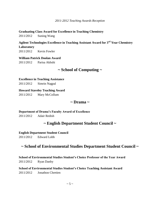**Graduating Class Award for Excellence in Teaching Chemistry**

2011/2012 Suning Wang

**Agilent Technologies Excellence in Teaching Assistant Award for 3rd Year Chemistry Laboratory**  2011/2012 Kevin Fowler

**William Patrick Doolan Award**

2011/2012 Parisa Akhshi

### **~ School of Computing ~**

**Excellence in Teaching Assistance**

2011/2012 Simrin Nagpal

**Howard Staveley Teaching Award** 

2011/2012 Mary McCollum

### **~ Drama ~**

**Department of Drama's Faculty Award of Excellence**

2011/2012 Adair Redish

### **~ English Department Student Council ~**

#### **English Department Student Council**

2011/2012 Edward Lobb

### **~ School of Environmental Studies Department Student Council ~**

**School of Environmental Studies Student's Choice Professor of the Year Award** 2011/2012 Ryan Danby

**School of Environmental Studies Student's Choice Teaching Assistant Award** 2011/2012 Jonathon Chretien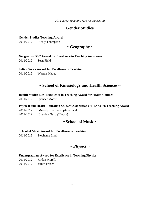## **~ Gender Studies ~**

#### **Gender Studies Teaching Award**

2011/2012 Healy Thompson

## **~ Geography ~**

**Geography DSC Award for Excellence in Teaching Assistance**

2011/2012 Sean Field

#### **Julian Szeicz Award for Excellence in Teaching**

2011/2012 Warren Mabee

## **~ School of Kinesiology and Health Sciences ~**

#### **Health Studies DSC Excellence in Teaching Award for Health Courses**

2011/2012 Spencer Moore

#### **Physical and Health Education Student Association (PHESA) '88 Teaching Award**

- 2011/2012 Melody Torcolacci *(Activities)*
- 2011/2012 Brenden Gurd *(Theory)*

## **~ School of Music ~**

#### **School of Music Award for Excellence in Teaching**

2011/2012 Stephanie Lind

### **~ Physics ~**

#### **Undergraduate Award for Excellence in Teaching Physics**

2011/2012 Jordan Morelli 2011/2012 James Fraser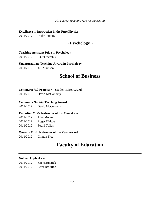#### **Excellence in Instruction in the Pure Physics**

2011/2012 Bob Gooding

## **~ Psychology ~**

#### **Teaching Assistant Prize in Psychology**

2011/2012 Laura Stefanik

#### **Undergraduate Teaching Award in Psychology**

2011/2012 Jill Atkinson

# **School of Business**

#### **Commerce '89 Professor – Student Life Award**

2011/2012 David McConomy

#### **Commerce Society Teaching Award**

2011/2012 David McConomy

#### **Executive MBA Instructor of the Year Award**

| 2011/2012 | <b>John Moore</b> |
|-----------|-------------------|
| 2011/2012 | Roger Wright      |
| 2011/2012 | Fotini Tolias     |

#### **Queen's MBA Instructor of the Year Award**

2011/2012 Clinton Free

# **Faculty of Education**

#### **Golden Apple Award**

2011/2012 Jan Hartgerick 2011/2012 Peter Brodribb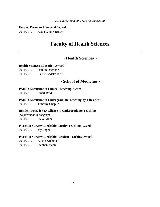#### **Rose A. Freeman Memorial Award**

2011/2012 Kezia Cooke-Brown

# **Faculty of Health Sciences**

## **~ Health Sciences ~**

#### **Health Sciences Education Award**

2011/2012 Damon Dagnone

2011/2012 Laurie Gedcke-Kerr

### **~ School of Medicine ~**

#### **PAIRO Excellence in Clinical Teaching Award**

2011/2012 Stuart Reid

**PAIRO Excellence in Undergraduate Teaching by a Resident**

2011/2012 Timothy Chaplin

#### **Resident Prize for Excellence in Undergraduate Teaching**

*(Department of Surgery)* 2011/2012 Steve Mann

#### **Phase III Surgery Clerkship Faculty Teaching Award**

2011/2012 Jay Engel

#### **Phase III Surgery Clerkship Resident Teaching Award**

- 2011/2012 Alison Archibald
- 2011/2012 Stephen Mann